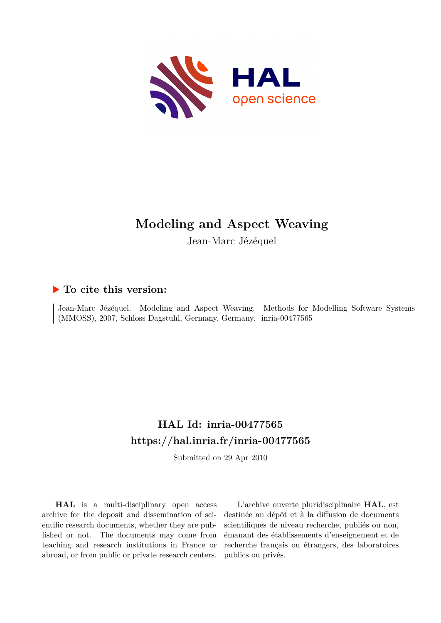

# **Modeling and Aspect Weaving**

Jean-Marc Jézéquel

# **To cite this version:**

Jean-Marc Jézéquel. Modeling and Aspect Weaving. Methods for Modelling Software Systems (MMOSS), 2007, Schloss Dagstuhl, Germany, Germany. inria-00477565

# **HAL Id: inria-00477565 <https://hal.inria.fr/inria-00477565>**

Submitted on 29 Apr 2010

**HAL** is a multi-disciplinary open access archive for the deposit and dissemination of scientific research documents, whether they are published or not. The documents may come from teaching and research institutions in France or abroad, or from public or private research centers.

L'archive ouverte pluridisciplinaire **HAL**, est destinée au dépôt et à la diffusion de documents scientifiques de niveau recherche, publiés ou non, émanant des établissements d'enseignement et de recherche français ou étrangers, des laboratoires publics ou privés.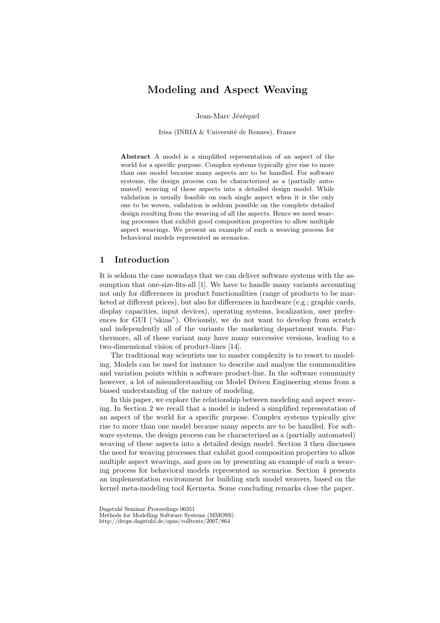# **Modeling and Aspect Weaving**

Jean-Marc Jézéquel

Irisa (INRIA & Université de Rennes), France

**Abstract** A model is a simplified representation of an aspect of the world for a specific purpose. Complex systems typically give rise to more than one model because many aspects are to be handled. For software systems, the design process can be characterized as a (partially automated) weaving of these aspects into a detailed design model. While validation is usually feasible on each single aspect when it is the only one to be woven, validation is seldom possible on the complete detailed design resulting from the weaving of all the aspects. Hence we need weaving processes that exhibit good composition properties to allow multiple aspect weavings. We present an example of such a weaving process for behavioral models represented as scenarios.

## **1 Introduction**

It is seldom the case nowadays that we can deliver software systems with the assumption that one-size-fits-all [1]. We have to handle many variants accounting not only for differences in product functionalities (range of products to be marketed at different prices), but also for differences in hardware (e.g.; graphic cards, display capacities, input devices), operating systems, localization, user preferences for GUI ("skins"). Obviously, we do not want to develop from scratch and independently all of the variants the marketing department wants. Furthermore, all of these variant may have many successive versions, leading to a two-dimensional vision of product-lines [14].

The traditional way scientists use to master complexity is to resort to modeling. Models can be used for instance to describe and analyse the commonalities and variation points within a software product-line. In the software community however, a lot of misunderstanding on Model Driven Engineering stems from a biased understanding of the nature of modeling.

In this paper, we explore the relationship between modeling and aspect weaving. In Section 2 we recall that a model is indeed a simplified representation of an aspect of the world for a specific purpose. Complex systems typically give rise to more than one model because many aspects are to be handled. For software systems, the design process can be characterized as a (partially automated) weaving of these aspects into a detailed design model. Section 3 then discusses the need for weaving processes that exhibit good composition properties to allow multiple aspect weavings, and goes on by presenting an example of such a weaving process for behavioral models represented as scenarios. Section 4 presents an implementation environment for building such model weavers, based on the kernel meta-modeling tool Kermeta. Some concluding remarks close the paper.

Methods for Modelling Software Systems (MMOSS) http://drops.dagstuhl.de/opus/volltexte/2007/864

Dagstuhl Seminar Proceedings 06351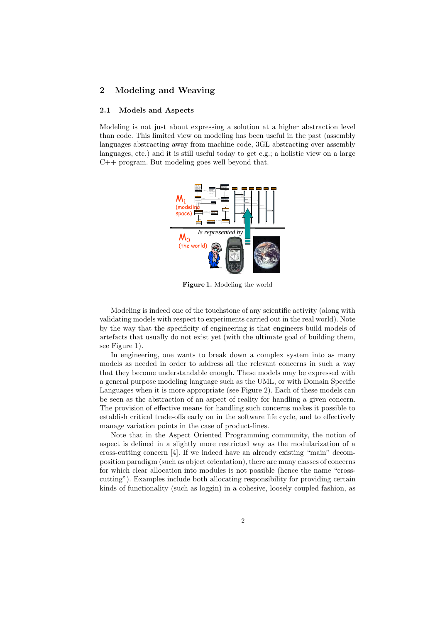# **2 Modeling and Weaving**

### **2.1 Models and Aspects**

Modeling is not just about expressing a solution at a higher abstraction level than code. This limited view on modeling has been useful in the past (assembly languages abstracting away from machine code, 3GL abstracting over assembly languages, etc.) and it is still useful today to get e.g.; a holistic view on a large C++ program. But modeling goes well beyond that.



**Figure 1.** Modeling the world

Modeling is indeed one of the touchstone of any scientific activity (along with validating models with respect to experiments carried out in the real world). Note by the way that the specificity of engineering is that engineers build models of artefacts that usually do not exist yet (with the ultimate goal of building them, see Figure 1).

In engineering, one wants to break down a complex system into as many models as needed in order to address all the relevant concerns in such a way that they become understandable enough. These models may be expressed with a general purpose modeling language such as the UML, or with Domain Specific Languages when it is more appropriate (see Figure 2). Each of these models can be seen as the abstraction of an aspect of reality for handling a given concern. The provision of effective means for handling such concerns makes it possible to establish critical trade-offs early on in the software life cycle, and to effectively manage variation points in the case of product-lines.

Note that in the Aspect Oriented Programming community, the notion of aspect is defined in a slightly more restricted way as the modularization of a cross-cutting concern [4]. If we indeed have an already existing "main" decomposition paradigm (such as object orientation), there are many classes of concerns for which clear allocation into modules is not possible (hence the name "crosscutting"). Examples include both allocating responsibility for providing certain kinds of functionality (such as loggin) in a cohesive, loosely coupled fashion, as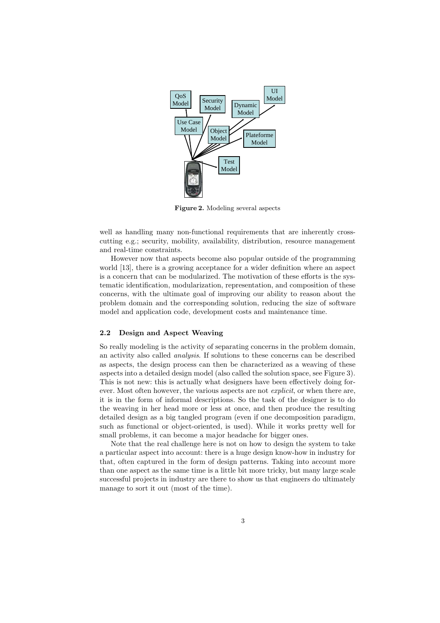

**Figure 2.** Modeling several aspects

well as handling many non-functional requirements that are inherently crosscutting e.g.; security, mobility, availability, distribution, resource management and real-time constraints.

However now that aspects become also popular outside of the programming world [13], there is a growing acceptance for a wider definition where an aspect is a concern that can be modularized. The motivation of these efforts is the systematic identification, modularization, representation, and composition of these concerns, with the ultimate goal of improving our ability to reason about the problem domain and the corresponding solution, reducing the size of software model and application code, development costs and maintenance time.

#### **2.2 Design and Aspect Weaving**

So really modeling is the activity of separating concerns in the problem domain, an activity also called *analysis*. If solutions to these concerns can be described as aspects, the design process can then be characterized as a weaving of these aspects into a detailed design model (also called the solution space, see Figure 3). This is not new: this is actually what designers have been effectively doing forever. Most often however, the various aspects are not *explicit*, or when there are, it is in the form of informal descriptions. So the task of the designer is to do the weaving in her head more or less at once, and then produce the resulting detailed design as a big tangled program (even if one decomposition paradigm, such as functional or object-oriented, is used). While it works pretty well for small problems, it can become a major headache for bigger ones.

Note that the real challenge here is not on how to design the system to take a particular aspect into account: there is a huge design know-how in industry for that, often captured in the form of design patterns. Taking into account more than one aspect as the same time is a little bit more tricky, but many large scale successful projects in industry are there to show us that engineers do ultimately manage to sort it out (most of the time).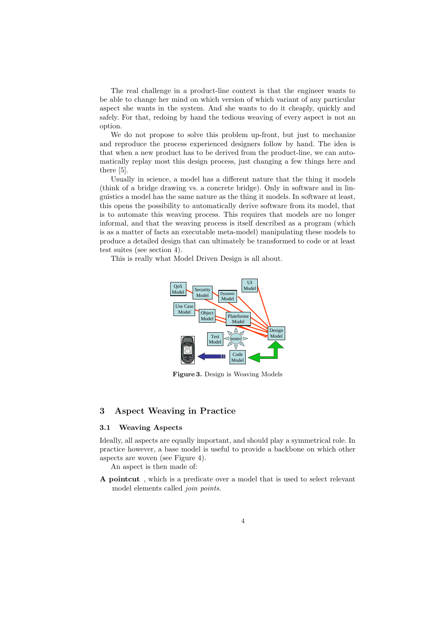The real challenge in a product-line context is that the engineer wants to be able to change her mind on which version of which variant of any particular aspect she wants in the system. And she wants to do it cheaply, quickly and safely. For that, redoing by hand the tedious weaving of every aspect is not an option.

We do not propose to solve this problem up-front, but just to mechanize and reproduce the process experienced designers follow by hand. The idea is that when a new product has to be derived from the product-line, we can automatically replay most this design process, just changing a few things here and there [5].

Usually in science, a model has a different nature that the thing it models (think of a bridge drawing vs. a concrete bridge). Only in software and in linguistics a model has the same nature as the thing it models. In software at least, this opens the possibility to automatically derive software from its model, that is to automate this weaving process. This requires that models are no longer informal, and that the weaving process is itself described as a program (which is as a matter of facts an executable meta-model) manipulating these models to produce a detailed design that can ultimately be transformed to code or at least test suites (see section 4).

This is really what Model Driven Design is all about.



**Figure 3.** Design is Weaving Models

## **3 Aspect Weaving in Practice**

#### **3.1 Weaving Aspects**

Ideally, all aspects are equally important, and should play a symmetrical role. In practice however, a base model is useful to provide a backbone on which other aspects are woven (see Figure 4).

An aspect is then made of:

**A pointcut** , which is a predicate over a model that is used to select relevant model elements called *join points*.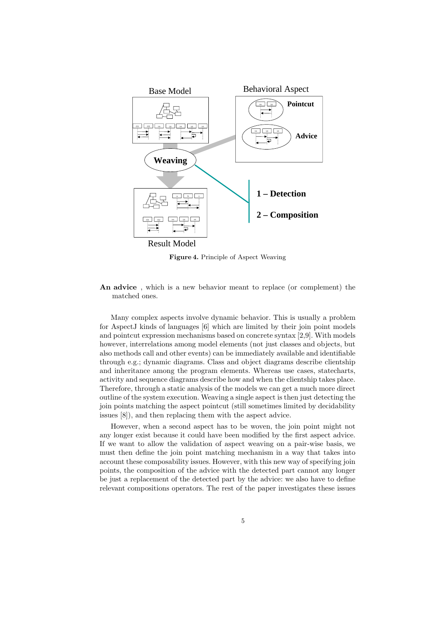

**Figure 4.** Principle of Aspect Weaving

**An advice** , which is a new behavior meant to replace (or complement) the matched ones.

Many complex aspects involve dynamic behavior. This is usually a problem for AspectJ kinds of languages [6] which are limited by their join point models and pointcut expression mechanisms based on concrete syntax [2,9]. With models however, interrelations among model elements (not just classes and objects, but also methods call and other events) can be immediately available and identifiable through e.g.; dynamic diagrams. Class and object diagrams describe clientship and inheritance among the program elements. Whereas use cases, statecharts, activity and sequence diagrams describe how and when the clientship takes place. Therefore, through a static analysis of the models we can get a much more direct outline of the system execution. Weaving a single aspect is then just detecting the join points matching the aspect pointcut (still sometimes limited by decidability issues [8]), and then replacing them with the aspect advice.

However, when a second aspect has to be woven, the join point might not any longer exist because it could have been modified by the first aspect advice. If we want to allow the validation of aspect weaving on a pair-wise basis, we must then define the join point matching mechanism in a way that takes into account these composability issues. However, with this new way of specifying join points, the composition of the advice with the detected part cannot any longer be just a replacement of the detected part by the advice: we also have to define relevant compositions operators. The rest of the paper investigates these issues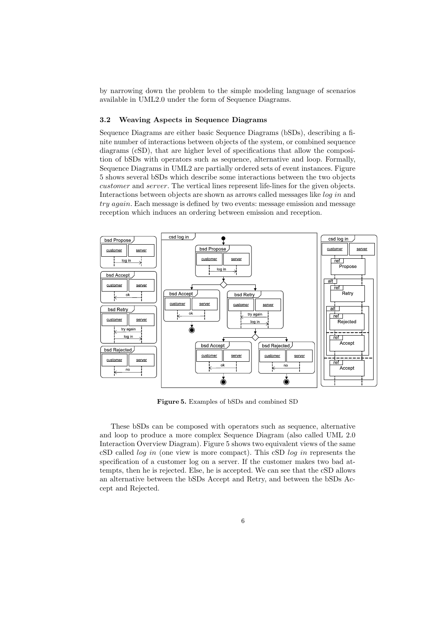by narrowing down the problem to the simple modeling language of scenarios available in UML2.0 under the form of Sequence Diagrams.

#### **3.2 Weaving Aspects in Sequence Diagrams**

Sequence Diagrams are either basic Sequence Diagrams (bSDs), describing a finite number of interactions between objects of the system, or combined sequence diagrams (cSD), that are higher level of specifications that allow the composition of bSDs with operators such as sequence, alternative and loop. Formally, Sequence Diagrams in UML2 are partially ordered sets of event instances. Figure 5 shows several bSDs which describe some interactions between the two objects customer and server. The vertical lines represent life-lines for the given objects. Interactions between objects are shown as arrows called messages like log in and try again. Each message is defined by two events: message emission and message reception which induces an ordering between emission and reception.



**Figure 5.** Examples of bSDs and combined SD

These bSDs can be composed with operators such as sequence, alternative and loop to produce a more complex Sequence Diagram (also called UML 2.0 Interaction Overview Diagram). Figure 5 shows two equivalent views of the same cSD called *log in* (one view is more compact). This cSD *log in* represents the specification of a customer log on a server. If the customer makes two bad attempts, then he is rejected. Else, he is accepted. We can see that the cSD allows an alternative between the bSDs Accept and Retry, and between the bSDs Accept and Rejected.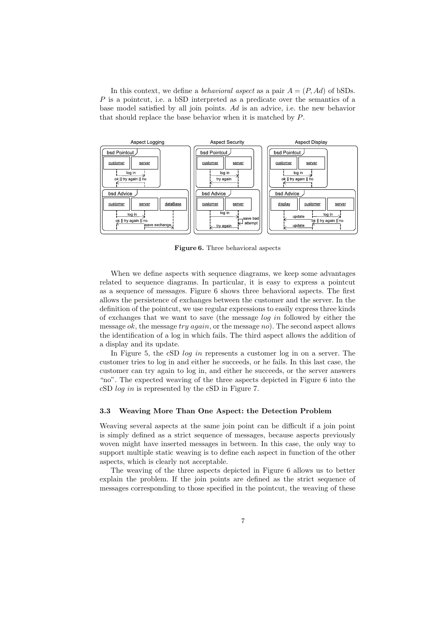In this context, we define a *behavioral aspect* as a pair  $A = (P, Ad)$  of bSDs. P is a pointcut, i.e. a bSD interpreted as a predicate over the semantics of a base model satisfied by all join points. Ad is an advice, i.e. the new behavior that should replace the base behavior when it is matched by P.



**Figure 6.** Three behavioral aspects

When we define aspects with sequence diagrams, we keep some advantages related to sequence diagrams. In particular, it is easy to express a pointcut as a sequence of messages. Figure 6 shows three behavioral aspects. The first allows the persistence of exchanges between the customer and the server. In the definition of the pointcut, we use regular expressions to easily express three kinds of exchanges that we want to save (the message log in followed by either the message  $ok$ , the message  $try$  again, or the message  $no$ ). The second aspect allows the identification of a log in which fails. The third aspect allows the addition of a display and its update.

In Figure 5, the cSD *log in* represents a customer log in on a server. The customer tries to log in and either he succeeds, or he fails. In this last case, the customer can try again to log in, and either he succeeds, or the server answers "no". The expected weaving of the three aspects depicted in Figure 6 into the cSD log in is represented by the cSD in Figure 7.

#### **3.3 Weaving More Than One Aspect: the Detection Problem**

Weaving several aspects at the same join point can be difficult if a join point is simply defined as a strict sequence of messages, because aspects previously woven might have inserted messages in between. In this case, the only way to support multiple static weaving is to define each aspect in function of the other aspects, which is clearly not acceptable.

The weaving of the three aspects depicted in Figure 6 allows us to better explain the problem. If the join points are defined as the strict sequence of messages corresponding to those specified in the pointcut, the weaving of these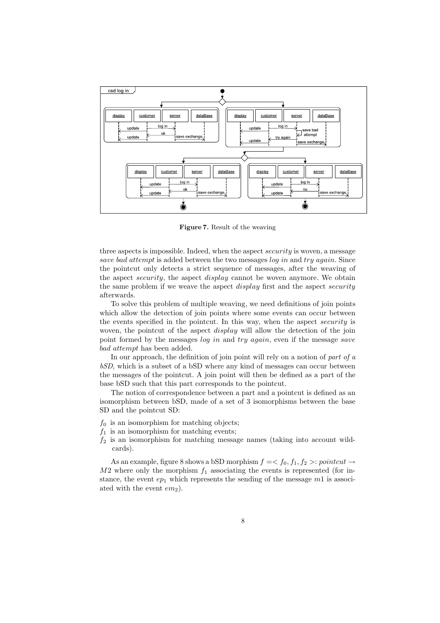

**Figure 7.** Result of the weaving

three aspects is impossible. Indeed, when the aspect security is woven, a message save bad attempt is added between the two messages log in and try again. Since the pointcut only detects a strict sequence of messages, after the weaving of the aspect *security*, the aspect *display* cannot be woven anymore. We obtain the same problem if we weave the aspect *display* first and the aspect *security* afterwards.

To solve this problem of multiple weaving, we need definitions of join points which allow the detection of join points where some events can occur between the events specified in the pointcut. In this way, when the aspect *security* is woven, the pointcut of the aspect *display* will allow the detection of the join point formed by the messages log in and try again, even if the message save bad attempt has been added.

In our approach, the definition of join point will rely on a notion of *part of a bSD*, which is a subset of a bSD where any kind of messages can occur between the messages of the pointcut. A join point will then be defined as a part of the base bSD such that this part corresponds to the pointcut.

The notion of correspondence between a part and a pointcut is defined as an isomorphism between bSD, made of a set of 3 isomorphisms between the base SD and the pointcut SD:

- $f_0$  is an isomorphism for matching objects;
- $f_1$  is an isomorphism for matching events;
- $f_2$  is an isomorphism for matching message names (taking into account wildcards).

As an example, figure 8 shows a bSD morphism  $f = \langle f_0, f_1, f_2 \rangle$ : pointcut  $\rightarrow$  $M2$  where only the morphism  $f_1$  associating the events is represented (for instance, the event  $ep_1$  which represents the sending of the message m1 is associated with the event  $em_2$ ).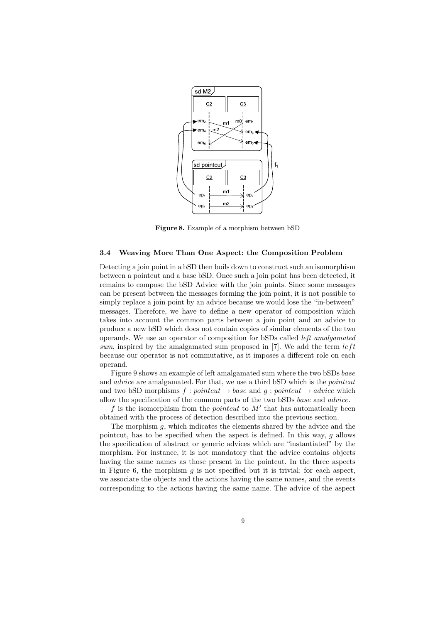

**Figure 8.** Example of a morphism between bSD

#### **3.4 Weaving More Than One Aspect: the Composition Problem**

Detecting a join point in a bSD then boils down to construct such an isomorphism between a pointcut and a base bSD. Once such a join point has been detected, it remains to compose the bSD Advice with the join points. Since some messages can be present between the messages forming the join point, it is not possible to simply replace a join point by an advice because we would lose the "in-between" messages. Therefore, we have to define a new operator of composition which takes into account the common parts between a join point and an advice to produce a new bSD which does not contain copies of similar elements of the two operands. We use an operator of composition for bSDs called *left amalgamated sum*, inspired by the amalgamated sum proposed in  $[7]$ . We add the term  $left$ because our operator is not commutative, as it imposes a different role on each operand.

Figure 9 shows an example of left amalgamated sum where the two bSDs base and *advice* are amalgamated. For that, we use a third bSD which is the *pointcut* and two bSD morphisms  $f : pointcut \rightarrow base$  and  $g : pointcut \rightarrow advice$  which allow the specification of the common parts of the two bSDs base and advice.

f is the isomorphism from the *pointcut* to  $M'$  that has automatically been obtained with the process of detection described into the previous section.

The morphism  $g$ , which indicates the elements shared by the advice and the pointcut, has to be specified when the aspect is defined. In this way,  $g$  allows the specification of abstract or generic advices which are "instantiated" by the morphism. For instance, it is not mandatory that the advice contains objects having the same names as those present in the pointcut. In the three aspects in Figure 6, the morphism  $q$  is not specified but it is trivial: for each aspect, we associate the objects and the actions having the same names, and the events corresponding to the actions having the same name. The advice of the aspect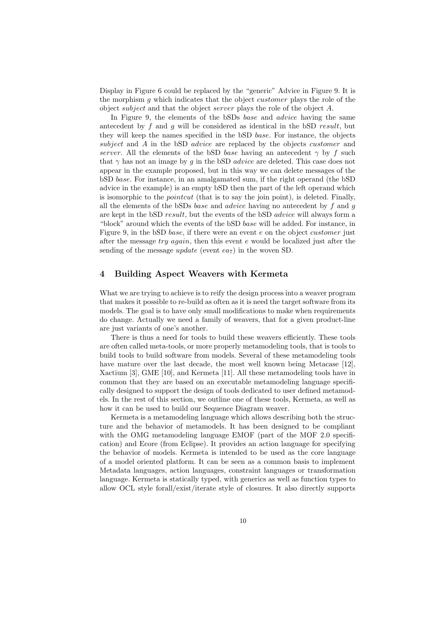Display in Figure 6 could be replaced by the "generic" Advice in Figure 9. It is the morphism g which indicates that the object customer plays the role of the object subject and that the object server plays the role of the object A.

In Figure 9, the elements of the bSDs base and advice having the same antecedent by f and q will be considered as identical in the bSD result, but they will keep the names specified in the bSD base. For instance, the objects subject and A in the bSD *advice* are replaced by the objects *customer* and server. All the elements of the bSD base having an antecedent  $\gamma$  by f such that  $\gamma$  has not an image by q in the bSD advice are deleted. This case does not appear in the example proposed, but in this way we can delete messages of the bSD base. For instance, in an amalgamated sum, if the right operand (the bSD advice in the example) is an empty bSD then the part of the left operand which is isomorphic to the pointcut (that is to say the join point), is deleted. Finally, all the elements of the bSDs base and advice having no antecedent by  $f$  and  $g$ are kept in the bSD result, but the events of the bSD advice will always form a "block" around which the events of the bSD base will be added. For instance, in Figure 9, in the bSD base, if there were an event e on the object customer just after the message  $try$  again, then this event e would be localized just after the sending of the message *update* (event  $ea_7$ ) in the woven SD.

#### **4 Building Aspect Weavers with Kermeta**

What we are trying to achieve is to reify the design process into a weaver program that makes it possible to re-build as often as it is need the target software from its models. The goal is to have only small modifications to make when requirements do change. Actually we need a family of weavers, that for a given product-line are just variants of one's another.

There is thus a need for tools to build these weavers efficiently. These tools are often called meta-tools, or more properly metamodeling tools, that is tools to build tools to build software from models. Several of these metamodeling tools have mature over the last decade, the most well known being Metacase [12], Xactium [3], GME [10], and Kermeta [11]. All these metamodeling tools have in common that they are based on an executable metamodeling language specifically designed to support the design of tools dedicated to user defined metamodels. In the rest of this section, we outline one of these tools, Kermeta, as well as how it can be used to build our Sequence Diagram weaver.

Kermeta is a metamodeling language which allows describing both the structure and the behavior of metamodels. It has been designed to be compliant with the OMG metamodeling language EMOF (part of the MOF 2.0 specification) and Ecore (from Eclipse). It provides an action language for specifying the behavior of models. Kermeta is intended to be used as the core language of a model oriented platform. It can be seen as a common basis to implement Metadata languages, action languages, constraint languages or transformation language. Kermeta is statically typed, with generics as well as function types to allow OCL style forall/exist/iterate style of closures. It also directly supports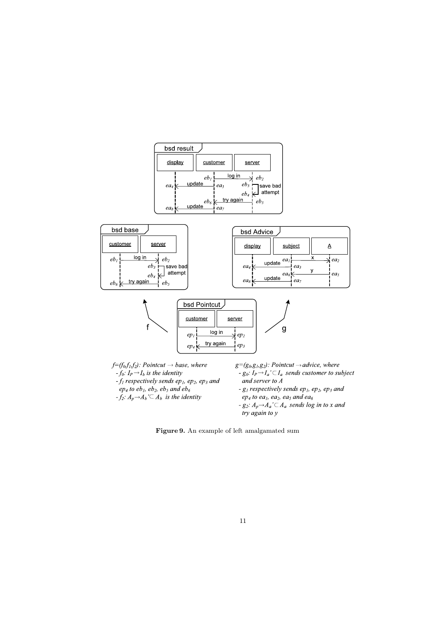

try again to y

**Figure 9.** An example of left amalgamated sum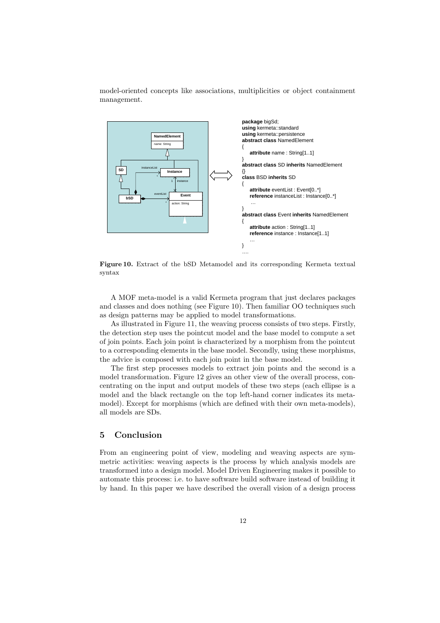

model-oriented concepts like associations, multiplicities or object containment management.

**Figure 10.** Extract of the bSD Metamodel and its corresponding Kermeta textual syntax

A MOF meta-model is a valid Kermeta program that just declares packages and classes and does nothing (see Figure 10). Then familiar OO techniques such as design patterns may be applied to model transformations.

As illustrated in Figure 11, the weaving process consists of two steps. Firstly, the detection step uses the pointcut model and the base model to compute a set of join points. Each join point is characterized by a morphism from the pointcut to a corresponding elements in the base model. Secondly, using these morphisms, the advice is composed with each join point in the base model.

The first step processes models to extract join points and the second is a model transformation. Figure 12 gives an other view of the overall process, concentrating on the input and output models of these two steps (each ellipse is a model and the black rectangle on the top left-hand corner indicates its metamodel). Except for morphisms (which are defined with their own meta-models), all models are SDs.

# **5 Conclusion**

From an engineering point of view, modeling and weaving aspects are symmetric activities: weaving aspects is the process by which analysis models are transformed into a design model. Model Driven Engineering makes it possible to automate this process: i.e. to have software build software instead of building it by hand. In this paper we have described the overall vision of a design process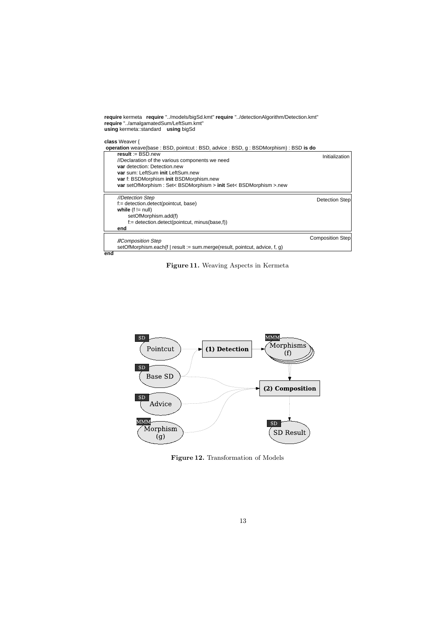| require kermeta require "/models/bigSd.kmt" require "/detectionAlgorithm/Detection.kmt"<br>require "/amalgamatedSum/LeftSum.kmt"<br>using kermeta::standard using bigSd<br>class Weaver {<br><b>operation</b> weave(base: BSD, pointcut: BSD, advice: BSD, g: BSDMorphism): BSD is do |                         |                                                 |                |
|---------------------------------------------------------------------------------------------------------------------------------------------------------------------------------------------------------------------------------------------------------------------------------------|-------------------------|-------------------------------------------------|----------------|
|                                                                                                                                                                                                                                                                                       |                         | $result := BSD.new$                             | Initialization |
|                                                                                                                                                                                                                                                                                       |                         | //Declaration of the various components we need |                |
| var detection: Detection new                                                                                                                                                                                                                                                          |                         |                                                 |                |
| var sum: LeftSum init LeftSum.new                                                                                                                                                                                                                                                     |                         |                                                 |                |
| var f: BSDMorphism init BSDMorphism.new                                                                                                                                                                                                                                               |                         |                                                 |                |
| var setOfMorphism : Set< BSDMorphism > init Set< BSDMorphism >.new                                                                                                                                                                                                                    |                         |                                                 |                |
| //Detection Step                                                                                                                                                                                                                                                                      | <b>Detection Step</b>   |                                                 |                |
| f:= detection.detect(pointcut, base)                                                                                                                                                                                                                                                  |                         |                                                 |                |
| while $(f \equiv null)$                                                                                                                                                                                                                                                               |                         |                                                 |                |
| setOfMorphism.add(f)                                                                                                                                                                                                                                                                  |                         |                                                 |                |
| f:= detection.detect(pointcut, minus(base,f))                                                                                                                                                                                                                                         |                         |                                                 |                |
| end                                                                                                                                                                                                                                                                                   |                         |                                                 |                |
|                                                                                                                                                                                                                                                                                       | <b>Composition Step</b> |                                                 |                |
| <b>I/Composition Step</b>                                                                                                                                                                                                                                                             |                         |                                                 |                |
| setOfMorphism.each{f   result := sum.merge(result, pointcut, advice, f, g)                                                                                                                                                                                                            |                         |                                                 |                |
| end                                                                                                                                                                                                                                                                                   |                         |                                                 |                |

**Figure 11.** Weaving Aspects in Kermeta



**Figure 12.** Transformation of Models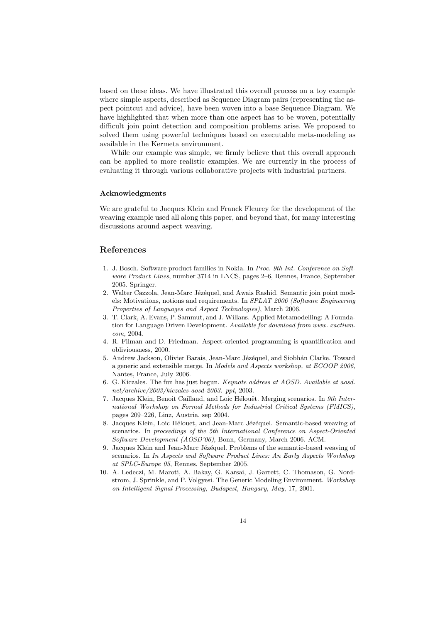based on these ideas. We have illustrated this overall process on a toy example where simple aspects, described as Sequence Diagram pairs (representing the aspect pointcut and advice), have been woven into a base Sequence Diagram. We have highlighted that when more than one aspect has to be woven, potentially difficult join point detection and composition problems arise. We proposed to solved them using powerful techniques based on executable meta-modeling as available in the Kermeta environment.

While our example was simple, we firmly believe that this overall approach can be applied to more realistic examples. We are currently in the process of evaluating it through various collaborative projects with industrial partners.

#### **Acknowledgments**

We are grateful to Jacques Klein and Franck Fleurey for the development of the weaving example used all along this paper, and beyond that, for many interesting discussions around aspect weaving.

### **References**

- 1. J. Bosch. Software product families in Nokia. In Proc. 9th Int. Conference on Software Product Lines, number 3714 in LNCS, pages 2–6, Rennes, France, September 2005. Springer.
- 2. Walter Cazzola, Jean-Marc Jézéquel, and Awais Rashid. Semantic join point models: Motivations, notions and requirements. In SPLAT 2006 (Software Engineering Properties of Languages and Aspect Technologies), March 2006.
- 3. T. Clark, A. Evans, P. Sammut, and J. Willans. Applied Metamodelling: A Foundation for Language Driven Development. Available for download from www. xactium. com, 2004.
- 4. R. Filman and D. Friedman. Aspect-oriented programming is quantification and obliviousness, 2000.
- 5. Andrew Jackson, Olivier Barais, Jean-Marc Jézéquel, and Siobhán Clarke. Toward a generic and extensible merge. In Models and Aspects workshop, at ECOOP 2006, Nantes, France, July 2006.
- 6. G. Kiczales. The fun has just begun. Keynote address at AOSD. Available at aosd. net/archive/2003/kiczales-aosd-2003. ppt, 2003.
- 7. Jacques Klein, Benoit Caillaud, and Loic Hélouët. Merging scenarios. In 9th International Workshop on Formal Methods for Industrial Critical Systems (FMICS), pages 209–226, Linz, Austria, sep 2004.
- 8. Jacques Klein, Loic Hélouet, and Jean-Marc Jézéquel. Semantic-based weaving of scenarios. In proceedings of the 5th International Conference on Aspect-Oriented Software Development (AOSD'06), Bonn, Germany, March 2006. ACM.
- 9. Jacques Klein and Jean-Marc Jézéquel. Problems of the semantic-based weaving of scenarios. In In Aspects and Software Product Lines: An Early Aspects Workshop at SPLC-Europe 05, Rennes, September 2005.
- 10. A. Ledeczi, M. Maroti, A. Bakay, G. Karsai, J. Garrett, C. Thomason, G. Nordstrom, J. Sprinkle, and P. Volgyesi. The Generic Modeling Environment. Workshop on Intelligent Signal Processing, Budapest, Hungary, May, 17, 2001.